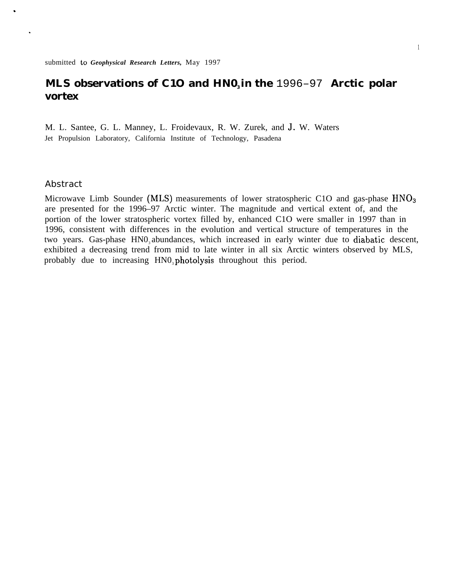## **MLS observations of C1O and HN03 in the** 1996–97 **Arctic polar vortex**

M. L. Santee, G. L. Manney, L. Froidevaux, R. W. Zurek, and J. W. Waters Jet Propulsion Laboratory, California Institute of Technology, Pasadena

## Abstract

.

.

Microwave Limb Sounder (MLS) measurements of lower stratospheric C1O and gas-phase  $HNO<sub>3</sub>$ are presented for the 1996–97 Arctic winter. The magnitude and vertical extent of, and the portion of the lower stratospheric vortex filled by, enhanced C1O were smaller in 1997 than in 1996, consistent with differences in the evolution and vertical structure of temperatures in the two years. Gas-phase HN0, abundances, which increased in early winter due to diabatic descent, exhibited a decreasing trend from mid to late winter in all six Arctic winters observed by MLS, probably due to increasing HN0<sub>3</sub> photolysis throughout this period.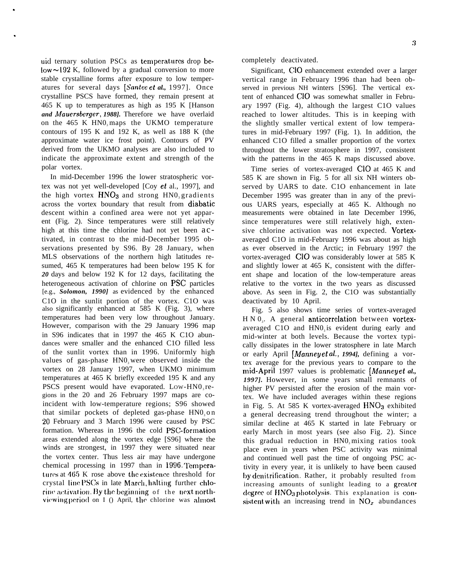uid ternary solution PSCs as temperatures drop be $low \sim 192$  K, followed by a gradual conversion to more stable crystalline forms after exposure to low temperatures for several days [Santee et al., 1997]. Once crystalline PSCS have formed, they remain present at 465 K up to temperatures as high as 195 K [Hanson *and A4auersberger, 1988].* Therefore we have overlaid on the  $465$  K HN0, maps the UKMO temperature contours of 195 K and 192 K, as well as 188 K (the approximate water ice frost point). Contours of PV derived from the UKMO analyses are also included to indicate the approximate extent and strength of the polar vortex.

.

.

In mid-December 1996 the lower stratospheric vortex was not yet well-developed  $[Cov et al., 1997]$ , and the high vortex  $HNO<sub>3</sub>$  and strong  $HNO<sub>3</sub>$  gradients across the vortex boundary that result from diabatic descent within a confined area were not yet apparent (Fig. 2). Since temperatures were still relatively high at this time the chlorine had not yet been activated, in contrast to the mid-December 1995 observations presented by S96. By 28 January, when MLS observations of the northern high latitudes resumed, 465 K temperatures had been below 195 K for *20* days and below 192 K for 12 days, facilitating the heterogeneous activation of chlorine on PSC particles [e.g., *Solomon, 1990]* as evidenced by the enhanced C1O in the sunlit portion of the vortex. C1O was also significantly enhanced at 585 K (Fig. 3), where temperatures had been very low throughout January. However, comparison with the 29 January 1996 map in S96 indicates that in 1997 the 465 K C1O abundances were smaller and the enhanced C1O filled less of the sunlit vortex than in 1996. Uniformly high values of gas-phase  $HNO<sub>3</sub>$  were observed inside the vortex on 28 January 1997, when UKMO minimum temperatures at 465 K briefly exceeded 195 K and any PSCS present would have evaporated. Low-HN0 $_3$  regions in the 20 and 26 February 1997 maps are coincident with low-temperature regions; S96 showed that similar pockets of depleted gas-phase  $HNO<sub>3</sub>$  on 20 February and 3 March 1996 were caused by PSC formation. Whereas in 1996 the cold PSC-formation areas extended along the vortex edge [S96] where the winds are strongest, in 1997 they were situated near the vortex center. Thus less air may have undergone chemical processing in 1997 than in 1996. Temperatures at 465 K rose above the existence threshold for crystal line PSCs in late March, halting further chlorine activation. By the beginning of the next northviewing period on I () April, the chlorine was almost completely deactivated.

Significant, CIO enhancement extended over a larger vertical range in February 1996 than had been observed in previous NH winters [S96]. The vertical extent of enhanced CIO was somewhat smaller in February 1997 (Fig. 4), although the largest C1O values reached to lower altitudes. This is in keeping with the slightly smaller vertical extent of low temperatures in mid-February 1997 (Fig. 1). In addition, the enhanced C1O filled a smaller proportion of the vortex throughout the lower stratosphere in 1997, consistent with the patterns in the 465 K maps discussed above.

Time series of vortex-averaged CIO at 465 K and 585 K are shown in Fig. 5 for all six NH winters observed by UARS to date. C1O enhancement in late December 1995 was greater than in any of the previous UARS years, especially at 465 K. Although no measurements were obtained in late December 1996, since temperatures were still relatively high, extensive chlorine activation was not expected. Vortexaveraged C1O in mid-February 1996 was about as high as ever observed in the Arctic; in February 1997 the vortex-averaged CIO was considerably lower at 585 K and slightly lower at 465 K, consistent with the different shape and location of the low-temperature areas relative to the vortex in the two years as discussed above. As seen in Fig. 2, the C1O was substantially deactivated by 10 April.

Fig. 5 also shows time series of vortex-averaged H N 0<sub>3</sub>. A general anticorrelation between vortexaveraged  $C1O$  and  $HNO<sub>3</sub>$  is evident during early and mid-winter at both levels. Because the vortex typically dissipates in the lower stratosphere in late March or early April *[Manney et al., 1994],* defining a vortex average for the previous years to compare to the mid-April 1997 values is problematic *[Manney et al., 1997].* However, in some years small remnants of higher PV persisted after the erosion of the main vortex. We have included averages within these regions in Fig. 5. At 585 K vortex-averaged  $HNO<sub>3</sub>$  exhibited a general decreasing trend throughout the winter; a similar decline at 465 K started in late February or early March in most years (see also Fig. 2). Since this gradual reduction in  $HNO<sub>3</sub>$  mixing ratios took place even in years when PSC activity was minimal and continued well past the time of ongoing PSC activity in every year, it is unlikely to have been caused hy dcnitrification. Rather, it probably resulted from increasing amounts of sunlight leading to a greater degree of HNO<sub>3</sub> photolysis. This explanation is consistent with an increasing trend in  $NO<sub>x</sub>$  abundances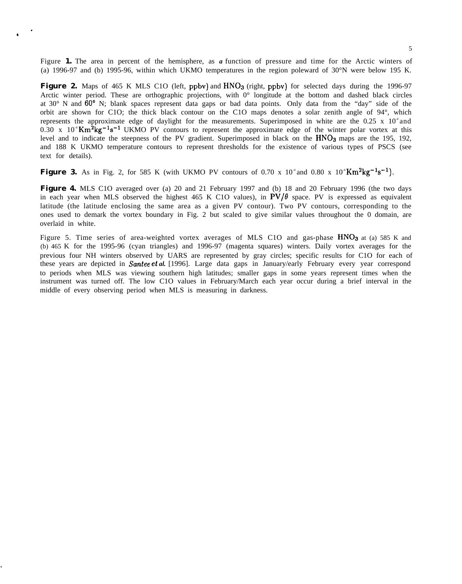Figure **1.** The area in percent of the hemisphere, as *a* function of pressure and time for the Arctic winters of (a) 1996-97 and (b) 1995-96, within which UKMO temperatures in the region poleward of 30°N were below 195 K.

.

I

**Figure 2.** Maps of 465 K MLS C1O (left, ppbv) and HNO<sub>3</sub> (right, ppbv) for selected days during the 1996-97 Arctic winter period. These are orthographic projections, with  $0^{\circ}$  longitude at the bottom and dashed black circles at 30° N and 60° N; blank spaces represent data gaps or bad data points. Only data from the "day" side of the orbit are shown for C1O; the thick black contour on the C1O maps denotes a solar zenith angle of 94°, which represents the approximate edge of daylight for the measurements. Superimposed in white are the  $0.25 \times 10^4$  and  $0.30 \text{ x } 10^{-4} \text{Km}^2 \text{kg}^{-1} \text{s}^{-1}$  UKMO PV contours to represent the approximate edge of the winter polar vortex at this level and to indicate the steepness of the PV gradient. Superimposed in black on the HNO<sub>3</sub> maps are the 195, 192, and 188 K UKMO temperature contours to represent thresholds for the existence of various types of PSCS (see text for details).

**Figure 3.** As in Fig. 2, for 585 K (with UKMO PV contours of 0.70 x  $10^{-4}$  and 0.80 x  $10^{-4}$  Km<sup>2</sup>kg<sup>-1</sup>s<sup>-1</sup>).

**Figure 4.** MLS C1O averaged over (a) 20 and 21 February 1997 and (b) 18 and 20 February 1996 (the two days in each year when MLS observed the highest 465 K C1O values), in  $PV/\theta$  space. PV is expressed as equivalent latitude (the latitude enclosing the same area as a given PV contour). Two PV contours, corresponding to the ones used to demark the vortex boundary in Fig. 2 but scaled to give similar values throughout the 0 domain, are overlaid in white.

Figure 5. Time series of area-weighted vortex averages of MLS C1O and gas-phase  $HNO<sub>3</sub>$  at (a) 585 K and (b) 465 K for the 1995-96 (cyan triangles) and 1996-97 (magenta squares) winters. Daily vortex averages for the previous four NH winters observed by UARS are represented by gray circles; specific results for C1O for each of these years are depicted in Santee et *al.* [1996]. Large data gaps in January/early February every year correspond to periods when MLS was viewing southern high latitudes; smaller gaps in some years represent times when the instrument was turned off. The low C1O values in February/March each year occur during a brief interval in the middle of every observing period when MLS is measuring in darkness.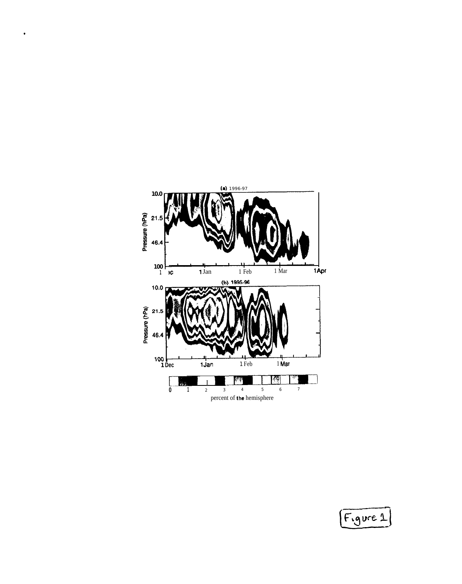

.

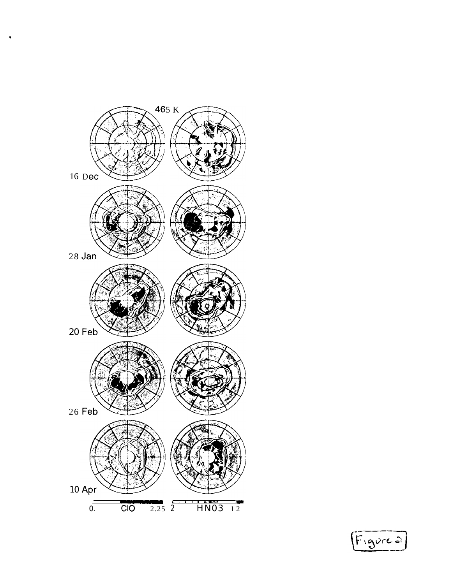

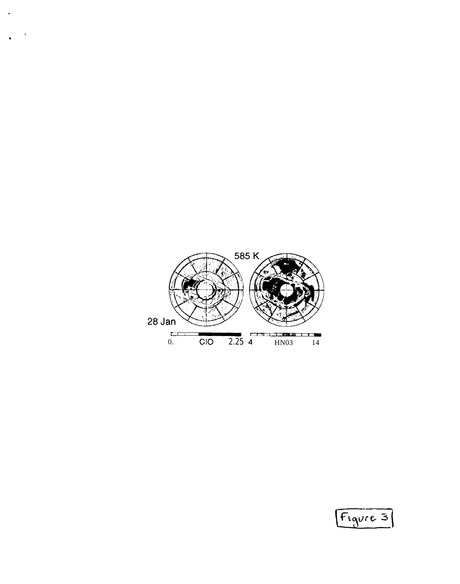

 $\hat{\mathbf{r}}$ 

 $\ddot{\phantom{0}}$  $\ddot{\phantom{0}}$ 

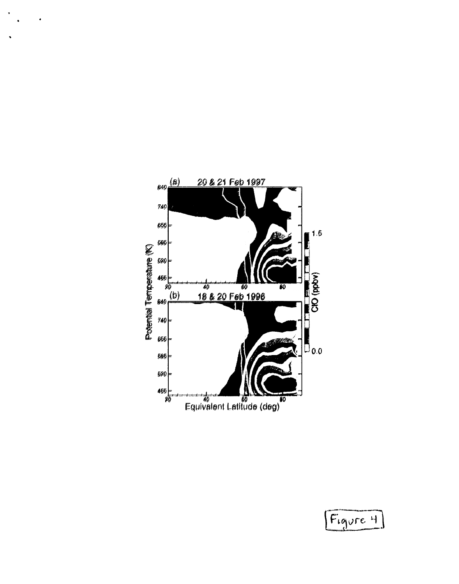

 $\bullet$